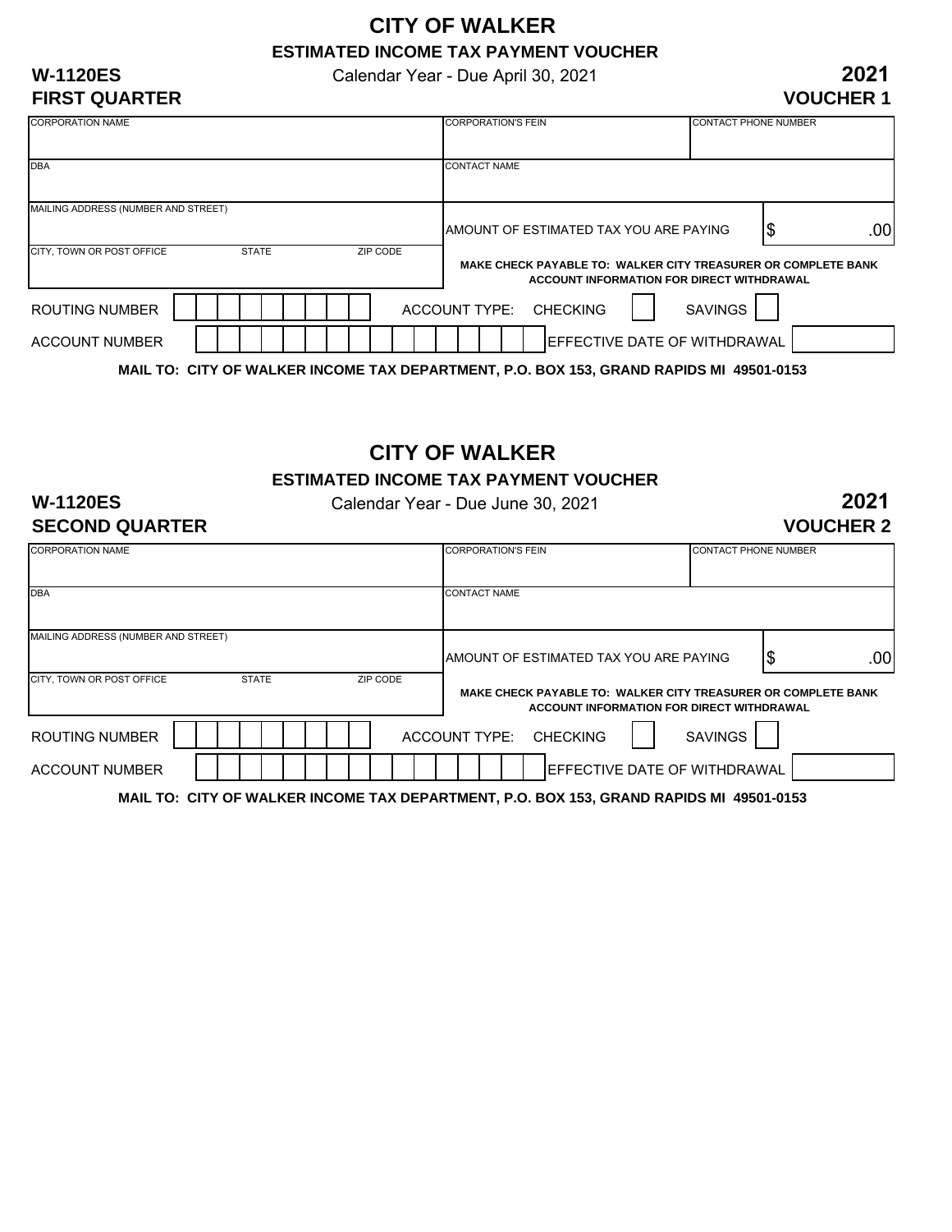### **CITY OF WALKER ESTIMATED INCOME TAX PAYMENT VOUCHER**

Calendar Year - Due April 30, 2021

#### **W-1120ES FIRST QUARTER**

| <b>CONTACT PHONE NUMBER</b>                                   |  |  |  |
|---------------------------------------------------------------|--|--|--|
|                                                               |  |  |  |
| <b>CONTACT NAME</b>                                           |  |  |  |
|                                                               |  |  |  |
|                                                               |  |  |  |
| .00<br>15                                                     |  |  |  |
| MAKE CHECK PAYABLE TO: WALKER CITY TREASURER OR COMPLETE BANK |  |  |  |
| ACCOUNT INFORMATION FOR DIRECT WITHDRAWAL                     |  |  |  |
|                                                               |  |  |  |
| <b>IEFFECTIVE DATE OF WITHDRAWAL</b>                          |  |  |  |
|                                                               |  |  |  |

**MAIL TO: CITY OF WALKER INCOME TAX DEPARTMENT, P.O. BOX 153, GRAND RAPIDS MI 49501-0153**

## **CITY OF WALKER**

**ESTIMATED INCOME TAX PAYMENT VOUCHER**

#### **W-1120ES SECOND QUARTER**

Calendar Year - Due June 30, 2021

**2021 VOUCHER 2**

| <b>CORPORATION NAME</b>             |              | <b>CORPORATION'S FEIN</b> | <b>CONTACT PHONE NUMBER</b>                                                             |                                           |           |
|-------------------------------------|--------------|---------------------------|-----------------------------------------------------------------------------------------|-------------------------------------------|-----------|
| <b>DBA</b>                          |              |                           | <b>CONTACT NAME</b>                                                                     |                                           |           |
| MAILING ADDRESS (NUMBER AND STREET) |              |                           | AMOUNT OF ESTIMATED TAX YOU ARE PAYING                                                  |                                           | \$<br>.00 |
| CITY, TOWN OR POST OFFICE           | <b>STATE</b> | ZIP CODE                  | MAKE CHECK PAYABLE TO: WALKER CITY TREASURER OR COMPLETE BANK                           | ACCOUNT INFORMATION FOR DIRECT WITHDRAWAL |           |
| ROUTING NUMBER                      |              |                           | ACCOUNT TYPE: CHECKING                                                                  | <b>SAVINGS</b>                            |           |
| <b>ACCOUNT NUMBER</b>               |              |                           |                                                                                         | <b>IEFFECTIVE DATE OF WITHDRAWAL</b>      |           |
|                                     |              |                           | MAIL TO: CITY OF WALKER INCOME TAX DEPARTMENT, P.O. BOX 153, GRAND RAPIDS MI 49501-0153 |                                           |           |

**2021 VOUCHER 1**